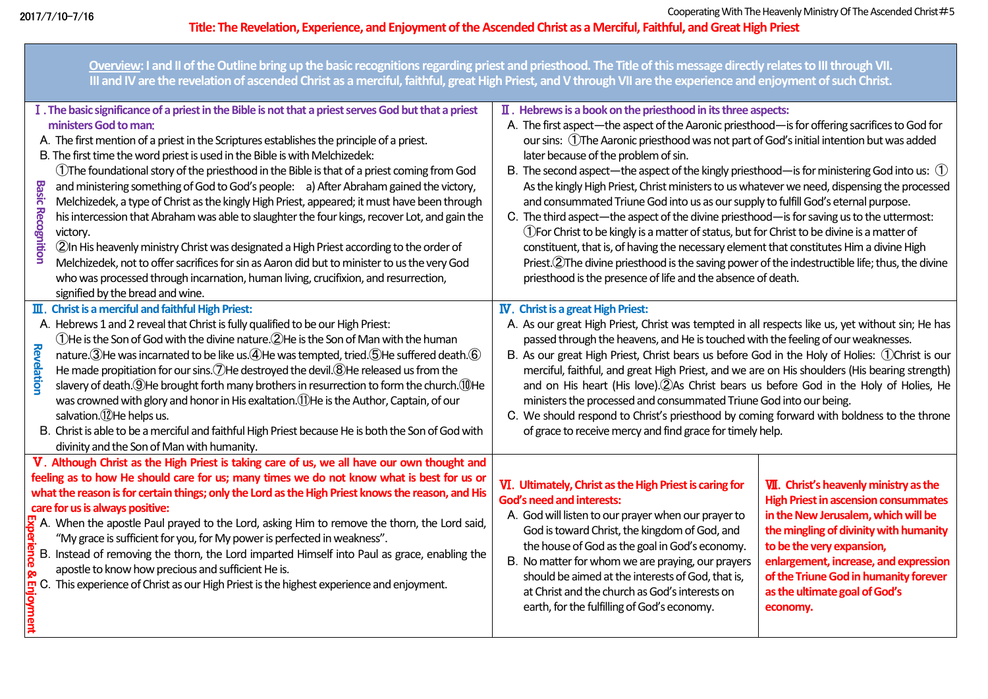**Overview: I and II of the Outline bring up the basic recognitions regarding priest and priesthood. The Title of this message directly relates to III through VII. III and IV are the revelation of ascended Christ as a merciful, faithful, great High Priest, and V through VII are the experience and enjoyment of such Christ.** Ⅱ.**Hebrews is a book on the priesthood in its three aspects:** Ⅰ. **The basic significance of a priest in the Bible is not that a priest serves God but that a priest**  A.The first aspect—the aspect of the Aaronic priesthood—is for offering sacrifices to God for **ministers God to man**: our sins: ①The Aaronic priesthoodwas not part of God's initial intention but was added A.The first mention of a priest in the Scriptures establishes the principle of a priest. B. The first time the word priest is used in the Bible is with Melchizedek: later because of the problem of sin. ①The foundational story of the priesthood in the Bible is that of a priest coming from God B.The second aspect—the aspect of the kingly priesthood—is for ministering God into us: ① **Basic** and ministering something of God to God's people: a) After Abraham gained the victory, As the kingly High Priest, Christ ministers to us whatever we need, dispensing the processed Basic Recognition<br>Basic Recognition<br>Basic Revelation<br>Basic Revelation<br>Basic Revelation<br>Basic Revelation and consummated Triune God into us as our supply to fulfill God's eternal purpose. Melchizedek, a type of Christ as the kingly High Priest, appeared; it must have been through **Recognition** his intercession that Abraham was able to slaughter the four kings, recover Lot, and gain the C.The third aspect—the aspect of the divine priesthood—is for saving us to the uttermost: victory. ①For Christ to be kingly is a matter of status, but for Christ to be divine is a matter of constituent, that is, of having the necessary element that constitutes Him a divine High ②In His heavenly ministry Christ was designated a High Priest according to the order of Melchizedek, not to offer sacrifices for sin as Aaron did but to minister to us the very God Priest. 2The divine priesthood is the saving power of the indestructible life; thus, the divine who was processed through incarnation, human living, crucifixion, and resurrection, priesthood is the presence of life and the absence of death. signified by the bread and wine. Ⅲ.**Christ is a merciful and faithful High Priest:** Ⅳ.**Christ is a great High Priest:** A.Hebrews 1 and 2 reveal that Christ is fully qualified to be our High Priest: A.As our great High Priest, Christ was tempted in all respects like us, yet without sin; He has ①He is the Son of God with the divine nature.②He is the Son of Man with the human passed through the heavens, and He is touched with the feeling of our weaknesses. **Revelatior** nature. ③He was incarnated to be like us. ④He was tempted, tried. ⑤He suffered death. ⑥ B.As our great High Priest, Christ bears us before God in the Holy of Holies: ①Christ is our He made propitiation for our sins. (7) He destroyed the devil. (8) He released us from the merciful, faithful, and great High Priest, and we are on His shoulders (His bearing strength) slavery of death.⑨He brought forth many brothers in resurrection to form the church.⑩He and on His heart (His love).②As Christ bears us before God in the Holy of Holies, He was crowned with glory and honor in His exaltation.⑪He is the Author, Captain, of our ministers the processed and consummated Triune God into our being. salvation.<sup>(12</sup>)He helps us. C.We should respond to Christ's priesthood by coming forward with boldness to the throne of grace to receive mercy and find grace for timely help. B.Christ is able to be a merciful and faithful High Priest because He is both the Son of God with divinity and the Son of Man with humanity. Ⅴ.**Although Christ as the High Priest is taking care of us, we all have our own thought and feeling as to how He should care for us; many times we do not know what is best for us or**  Ⅵ.**Ultimately, Christ as the High Priest is caring for**  Ⅶ.**Christ's heavenly ministry as the what the reason is for certain things; only the Lord as the High Priest knows the reason, and His High Priest in ascension consummates God's need and interests: care for usis always positive: in the New Jerusalem, which will be**  A.God will listen to our prayer when our prayer to  $\overline{A}$ . When the apostle Paul prayed to the Lord, asking Him to remove the thorn, the Lord said, God is toward Christ, the kingdom of God, and **the mingling of divinity with humanity**  "My grace is sufficient for you, for My power is perfected in weakness". the house of God as the goal in God's economy. **to be the very expansion,**  B.Instead of removing the thorn, the Lord imparted Himself into Paul as grace, enabling the B. No matter for whom we are praying, our prayers **enlargement, increase, and expression**  apostle to know how precious and sufficient He is. should be aimed at the interests of God, that is, **of the Triune God in humanity forever**   $\frac{1}{27}$  C. This experience of Christ as our High Priest is the highest experience and enjoyment. at Christ and the church as God's interests on **as the ultimate goal of God's**  earth, for the fulfilling of God's economy. **economy.**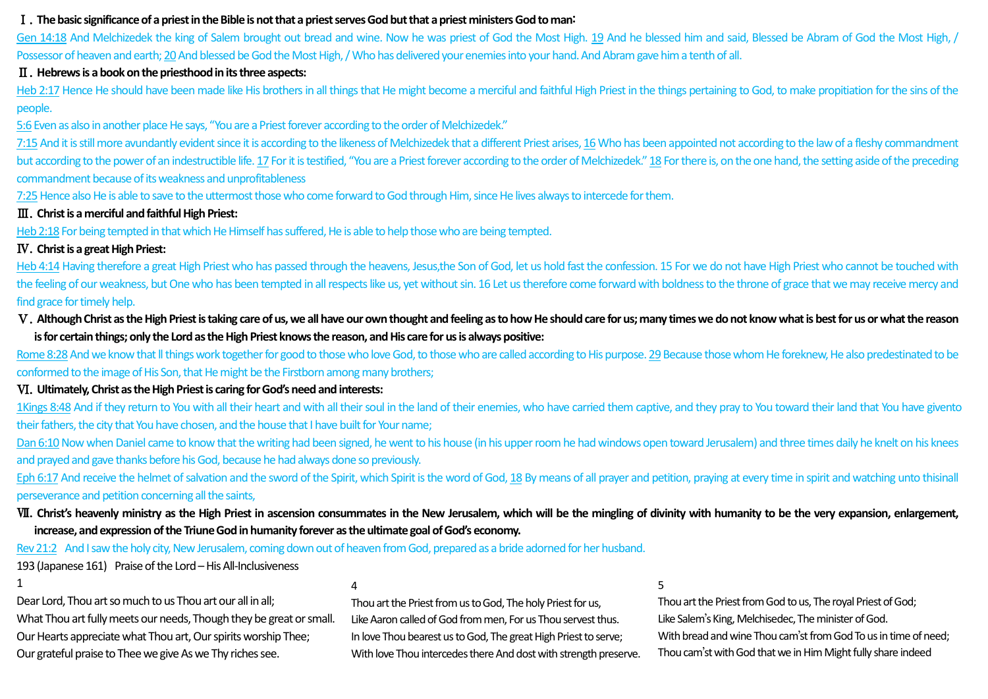#### Ⅰ.**The basic significance of a priest in the Bible is not that a priest serves God but that a priest ministers God to man**:

Gen 14:18 And Melchizedek the king of Salem brought out bread and wine. Now he was priest of God the Most High, 19 And he blessed him and said, Blessed be Abram of God the Most High, / Possessor of heaven and earth; 20And blessed be God the Most High, / Who has delivered your enemies into your hand. And Abram gave him a tenth of all.

#### Ⅱ.**Hebrews is a book on the priesthood in its three aspects:**

Heb 2:17 Hence He should have been made like His brothers in all things that He might become a merciful and faithful High Priest in the things pertaining to God, to make propitiation for the sins of the people.

5:6Even as also in another place He says, "You are a Priest forever according to the order of Melchizedek."

7:15And it is still more avundantly evident since it is according to the likeness of Melchizedek that a different Priest arises, 16Who has been appointed not according to the law of a fleshy commandment but according to the power of an indestructible life. 17 For it is testified, "You are a Priest forever according to the order of Melchizedek." 18 For there is, on the one hand, the setting aside of the preceding commandment because of its weakness and unprofitableness

7:25Hence also He is able to save to the uttermost those who come forward to God through Him, since He lives always to intercede for them.

# Ⅲ.**Christ is a merciful and faithful High Priest:**

Heb 2:18 For being tempted in that which He Himself has suffered, He is able to help those who are being tempted.

# Ⅳ.**Christ is a great High Priest:**

Heb 4:14 Having therefore a great High Priest who has passed through the heavens, Jesus,the Son of God, let us hold fast the confession. 15 For we do not have High Priest who cannot be touched with the feeling of our weakness, but One who has been tempted in all respects like us, yet without sin. 16 Let us therefore come forward with boldness to the throne of grace that we may receive mercy and find grace for timely help.

V. Although Christ as the High Priest is taking care of us, we all have our own thought and feeling as to how He should care for us; many times we do not know what is best for us or what the reason **is for certain things; only the Lord as the High Priest knows the reason, and His care for usis always positive:**

Rome 8:28 And we know that II things work together for good to those who love God, to those who are called according to His purpose. 29 Because those whom He foreknew, He also predestinated to be conformed to the image of His Son, that He might be the Firstborn among many brothers;

## Ⅵ.**Ultimately, Christ as the High Priest is caring for God's need and interests:**

1Kings 8:48 And if they return to You with all their heart and with all their soul in the land of their enemies, who have carried them captive, and they pray to You toward their land that You have givento their fathers, the city that You have chosen, and the house that I have built for Your name;

Dan 6:10 Now when Daniel came to know that the writing had been signed, he went to his house (in his upper room he had windows open toward Jerusalem) and three times daily he knelt on his knees and prayed and gave thanks before his God, because he had always done so previously.

Eph 6:17 And receive the helmet of salvation and the sword of the Spirit, which Spirit is the word of God, 18 By means of all prayer and petition, praying at every time in spirit and watching unto thisinall perseverance and petition concerning all the saints,

# W. Christ's heavenly ministry as the High Priest in ascension consummates in the New Jerusalem, which will be the mingling of divinity with humanity to be the very expansion, enlargement, **increase, and expression of the Triune God in humanity forever as the ultimate goal of God's economy.**

Rev 21:2 And I saw the holy city, New Jerusalem, coming down out of heaven from God, prepared as a bride adorned for her husband.

193 (Japanese 161) Praise of the Lord - His All-Inclusiveness

1

Dear Lord, Thou art so much to us Thou art our all in all; What Thou art fully meets our needs, Though they be great or small. Our Hearts appreciate what Thou art, Our spirits worship Thee; Our grateful praise to Thee we give As we Thy riches see.

4

Thou art the Priest from us to God, The holy Priest for us, Like Aaron called of God from men, For us Thou servest thus. In love Thou bearest us to God, The great High Priest to serve; With love Thou intercedes there And dost with strength preserve. 5

Thou art the Priest from God to us, The royal Priest of God; Like Salem's King, Melchisedec, The minister of God. With bread and wine Thou cam'st from God To us in time of need; Thou cam'st with God that we in Him Might fully share indeed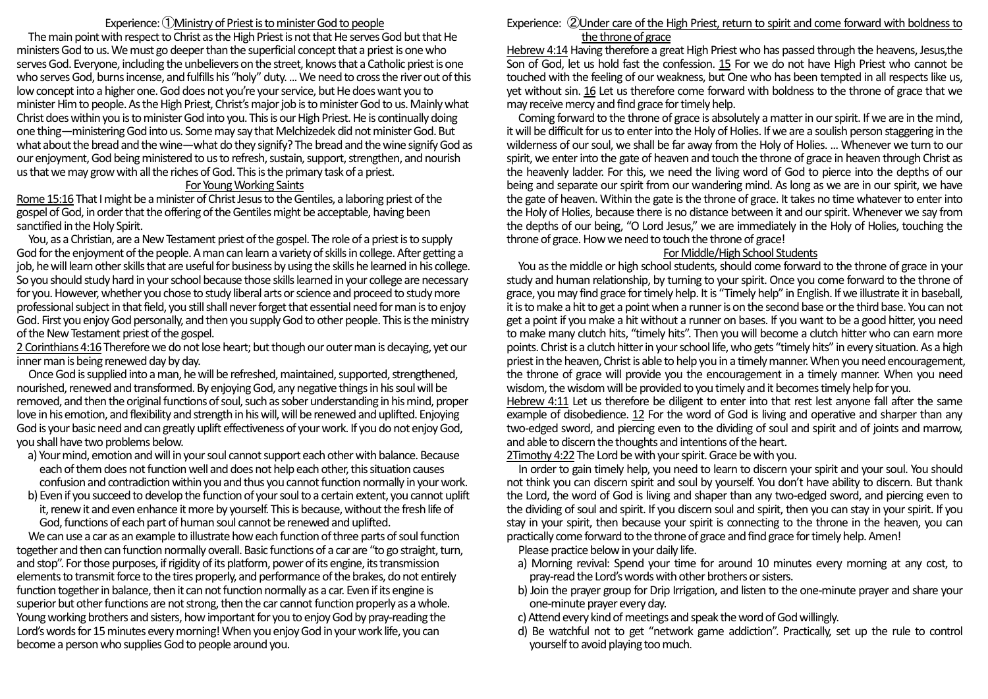## Experience: ①Ministry of Priest is to minister God to people

The main point with respect to Christ as the High Priest is not that He serves God but that He ministers God to us. We must go deeper than the superficial concept that a priest is one who serves God. Everyone, including the unbelievers on the street, knows that a Catholic priest is one who serves God, burns incense, and fulfills his "holy" duty. ... We need to cross the river out of this low concept into a higher one. God does not you're yourservice, but He does want you to minister Him to people. As the High Priest, Christ's major job is to minister God to us. Mainly what Christ does within youis to minister God into you. This is our High Priest. He is continually doing one thing—ministering God into us. Some may say that Melchizedek did not ministerGod. But what about the bread and the wine—what do they signify? The breadand the wine signify God as our enjoyment, God being ministered to us to refresh, sustain, support, strengthen, and nourish us that we may grow with all the riches of God. This is the primary task of a priest.

#### For Young Working Saints

Rome 15:16 That I might be a minister of Christ Jesus to the Gentiles, a laboring priest of the gospel of God, in order that the offering of the Gentiles might be acceptable, having been sanctified in the Holy Spirit.

 You, as a Christian, are a New Testament priest of the gospel. The role of a priest is to supply God for the enjoyment of the people. A man can learn a variety of skills in college. After getting a job, he will learn other skills that are useful for business by using the skills he learned in his college. So you should study hard in your school because those skills learned in your college are necessary for you. However, whether you chose to study liberal arts or science and proceed to study more professional subject in that field, you still shall never forget that essential need for man is to enjoy God. First you enjoy God personally, and then you supply God to other people. This is the ministry of the New Testament priest of the gospel.

2 Corinthians 4:16 Therefore we do not lose heart; but though our outer man is decaying, yet our inner man is being renewed day by day.

 Once God is supplied into a man, he will be refreshed, maintained, supported, strengthened, nourished, renewedand transformed. By enjoying God, any negative things in his soul will be removed, and then the original functions of soul, such as sober understanding in his mind, proper love in his emotion, and flexibility and strength in his will, will be renewed and uplifted. Enjoying God is your basic need and can greatly uplift effectiveness of your work. If you do not enjoy God, you shall have two problems below.

- a) Your mind, emotion and will in your soul cannot support each other with balance. Because each of them does not function well and does not help each other, this situation causes confusion and contradiction within you and thus you cannot function normally in your work.
- b) Even if you succeed to develop the function of your soul to a certain extent, you cannot uplift it, renew it and even enhance it more by yourself. This is because, without the fresh life of God, functions of each part of human soul cannot be renewed and uplifted.

 We can use a car as an example to illustrate how each function of three parts of soul function together and then can function normally overall. Basic functions of a car are "to go straight, turn, and stop". For those purposes, if rigidity of its platform, power of its engine, its transmission elements to transmit force to the tires properly, and performance of the brakes, do not entirely function together in balance, then it can not function normally as a car. Even if its engine is superior but other functions are not strong, then the car cannot function properly as a whole. Young working brothers and sisters, how important for youto enjoy God by pray-reading the Lord's words for 15 minutes every morning! When you enjoy God in your work life, you can become a person who supplies God to people around you.

#### Experience: ②Under care of the High Priest, return to spirit and come forward with boldness to the throne of grace

Hebrew 4:14 Having therefore a great High Priest who has passed through the heavens, Jesus,the Son of God, let us hold fast the confession. 15 For we do not have High Priest who cannot be touched with the feeling of our weakness, but One who has been tempted in all respects like us, yet without sin. 16 Let us therefore come forward with boldness to the throne of grace that we may receive mercy and find grace for timely help.

Coming forward to the throne of grace is absolutely a matter in our spirit. If we are in the mind, it will be difficult for us to enter into the Holy of Holies. If we are a soulish person staggering in the wilderness of our soul, we shall be far away from the Holy of Holies. ... Whenever we turn to our spirit, we enter into the gate of heaven and touch the throne of grace in heaven through Christ as the heavenly ladder. For this, we need the living word of God to pierce into the depths of our being and separate our spirit from our wandering mind. As long as we are in our spirit, we have the gate of heaven. Within the gate is the throne of grace. It takes no time whatever to enter into the Holy of Holies, because there is no distance between it and our spirit. Whenever we say from the depths of our being, "O Lord Jesus," we are immediately in the Holy of Holies, touching the throne of grace. How we need to touch the throne of grace!

# For Middle/High School Students

You as the middle or high school students, should come forward to the throne of grace in your study and human relationship, by turning to your spirit. Once you come forward to the throne of grace, you may find grace for timely help. Itis "Timely help" in English. If we illustrate it in baseball, it is tomake a hit to get a point when a runner is on the second base or the third base. You can not get a point if you make a hit without a runner on bases. If you want to be a good hitter, you need to make many clutch hits, "timely hits". Then you will become a clutch hitter who can earn more points. Christ is a clutch hitter in your school life, who gets "timely hits" in every situation. As a high priest in the heaven, Christ is able to help you in a timely manner. When you need encouragement, the throne of grace will provide you the encouragement in a timely manner. When you need wisdom, the wisdom will be provided to you timely and it becomestimely help for you.

Hebrew 4:11 Let us therefore be diligent to enter into that rest lest anyone fall after the same example of disobedience. 12 For the word of God is living and operative and sharper than any two-edged sword, and piercing even to the dividing of soul and spirit and of joints and marrow, and able to discern the thoughts and intentions of the heart.

2Timothy 4:22 The Lord be with your spirit. Grace be with you.

 In order to gain timely help, you need to learn to discern your spirit and your soul. You should not think you can discern spirit and soul by yourself. You don't have ability to discern. But thank the Lord, the word of God is living and shaper than any two-edged sword, and piercing even to the dividing of soul and spirit. If you discern soul and spirit, then you can stay in your spirit. If you stay in your spirit, then because your spirit is connecting to the throne in the heaven, you can practically come forward to the throne of grace and find grace for timely help. Amen!

Please practice below in your daily life.

- a) Morning revival: Spend your time for around 10 minutes every morning at any cost, to pray-read the Lord's words with other brothers or sisters.
- b) Join the prayer group for Drip Irrigation, and listen to the one-minute prayer and share your one-minute prayer every day.
- c)Attend every kind of meetings and speak the word of God willingly.
- d) Be watchful not to get "network game addiction". Practically, set up the rule to control yourself to avoid playing too much.